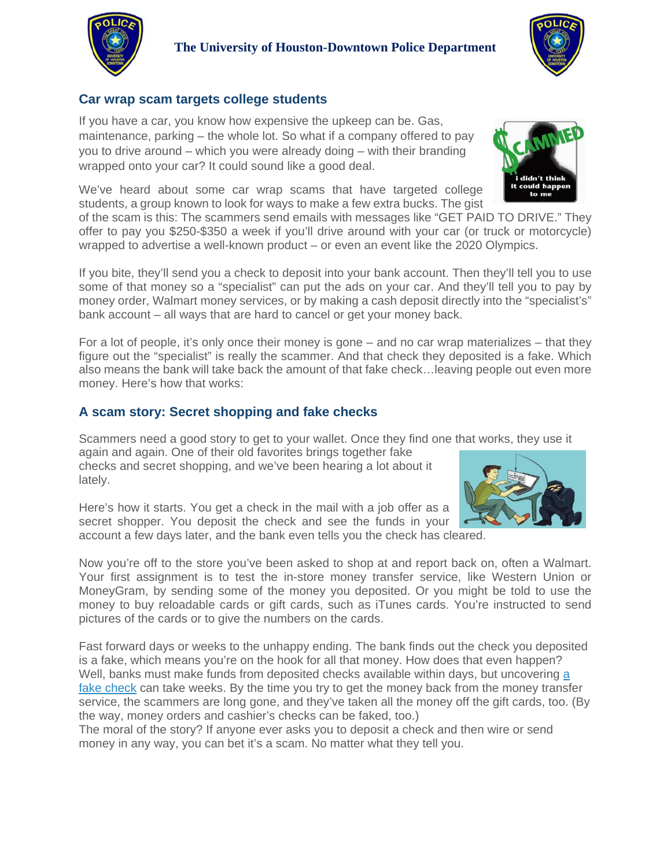

## **The University of Houston-Downtown Police Department**



## **Car wrap scam targets college students**

If you have a car, you know how expensive the upkeep can be. Gas, maintenance, parking – the whole lot. So what if a company offered to pay you to drive around – which you were already doing – with their branding wrapped onto your car? It could sound like a good deal.

We've heard about some car wrap scams that have targeted college students, a group known to look for ways to make a few extra bucks. The gist

of the scam is this: The scammers send emails with messages like "GET PAID TO DRIVE." They offer to pay you \$250-\$350 a week if you'll drive around with your car (or truck or motorcycle) wrapped to advertise a well-known product – or even an event like the 2020 Olympics.

If you bite, they'll send you a check to deposit into your bank account. Then they'll tell you to use some of that money so a "specialist" can put the ads on your car. And they'll tell you to pay by money order, Walmart money services, or by making a cash deposit directly into the "specialist's" bank account – all ways that are hard to cancel or get your money back.

For a lot of people, it's only once their money is gone – and no car wrap materializes – that they figure out the "specialist" is really the scammer. And that check they deposited is a fake. Which also means the bank will take back the amount of that fake check…leaving people out even more money. Here's how that works:

## **A scam story: Secret shopping and fake checks**

Scammers need a good story to get to your wallet. Once they find one that works, they use it

again and again. One of their old favorites brings together fake checks and secret shopping, and we've been hearing a lot about it lately.

Here's how it starts. You get a check in the mail with a job offer as a secret shopper. You deposit the check and see the funds in your account a few days later, and the bank even tells you the check has cleared.

Now you're off to the store you've been asked to shop at and report back on, often a Walmart. Your first assignment is to test the in-store money transfer service, like Western Union or MoneyGram, by sending some of the money you deposited. Or you might be told to use the money to buy reloadable cards or gift cards, such as iTunes cards. You're instructed to send pictures of the cards or to give the numbers on the cards.

Fast forward days or weeks to the unhappy ending. The bank finds out the check you deposited is a fake, which means you're on the hook for all that money. How does that even happen? Well, banks must make funds from deposited checks available within days, but uncovering a [fake check](http://www.consumer.ftc.gov/articles/0159-fake-checks) can take weeks. By the time you try to get the money back from the money transfer service, the scammers are long gone, and they've taken all the money off the gift cards, too. (By the way, money orders and cashier's checks can be faked, too.)

The moral of the story? If anyone ever asks you to deposit a check and then wire or send money in any way, you can bet it's a scam. No matter what they tell you.